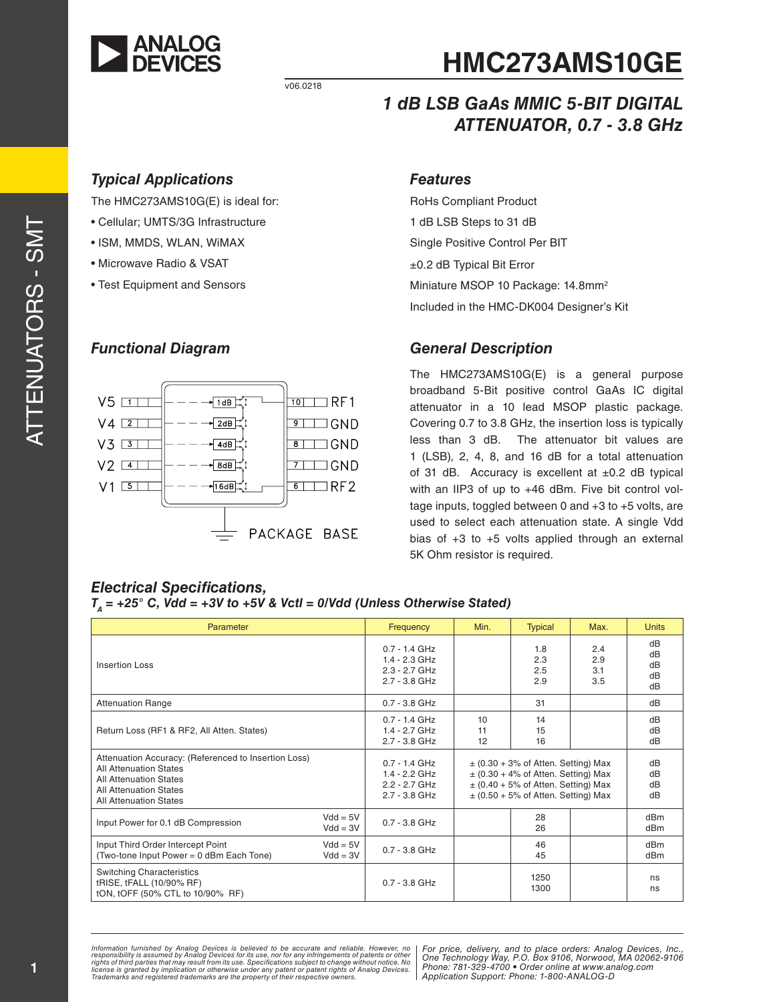

v06.0218

# **HMC273AMS10GE**

#### *1 dB LSB GaAs MMIC 5-BIT DIGITAL ATTENUATOR, 0.7 - 3.8 GHz*

#### *Typical Applications*

The HMC273AMS10G(E) is ideal for:

- Cellular; UMTS/3G Infrastructure
- ISM, MMDS, WLAN, WiMAX
- Microwave Radio & VSAT
- Test Equipment and Sensors

#### *Functional Diagram*

#### $10$  T RF1  $V5$   $\Pi$  $\sqrt{1dB}$  $V4$  2  $\sqrt{2dB}$  $9 \square$  GND  $V3$   $3$  $8$   $\Box$  GND  $4dB$  $V2$  4 1  $8dB$  $71$  GND  $V1$  5  $\Box$  $\overline{\bullet}$   $\Box$  RF2  $|16dB|$ PACKAGE BASE

#### *Features*

RoHs Compliant Product 1 dB LSB Steps to 31 dB Single Positive Control Per BIT ±0.2 dB Typical Bit Error Miniature MSOP 10 Package: 14.8mm<sup>2</sup> Included in the HMC-DK004 Designer's Kit

#### *General Description*

The HMC273AMS10G(E) is a general purpose broadband 5-Bit positive control GaAs IC digital attenuator in a 10 lead MSOP plastic package. Covering 0.7 to 3.8 GHz, the insertion loss is typically less than 3 dB. The attenuator bit values are 1 (LSB), 2, 4, 8, and 16 dB for a total attenuation of 31 dB. Accuracy is excellent at  $\pm 0.2$  dB typical with an IIP3 of up to +46 dBm. Five bit control voltage inputs, toggled between 0 and +3 to +5 volts, are used to select each attenuation state. A single Vdd bias of  $+3$  to  $+5$  volts applied through an external 5K Ohm resistor is required.

#### *Electrical Specifications,*   $T_A$  = +25° C, Vdd = +3V to +5V & Vctl = 0/Vdd (Unless Otherwise Stated)

| Parameter                                                                                                                                                                                |                          | Frequency                                                                | Min.                                                                                                                                                                     | <b>Typical</b>           | Max.                     | <b>Units</b>                       |
|------------------------------------------------------------------------------------------------------------------------------------------------------------------------------------------|--------------------------|--------------------------------------------------------------------------|--------------------------------------------------------------------------------------------------------------------------------------------------------------------------|--------------------------|--------------------------|------------------------------------|
| Insertion Loss                                                                                                                                                                           |                          | $0.7 - 1.4$ GHz<br>$1.4 - 2.3$ GHz<br>2.3 - 2.7 GHz<br>$2.7 - 3.8$ GHz   |                                                                                                                                                                          | 1.8<br>2.3<br>2.5<br>2.9 | 2.4<br>2.9<br>3.1<br>3.5 | dB<br>dB<br>dB<br>dB<br>dB         |
| <b>Attenuation Range</b>                                                                                                                                                                 |                          | $0.7 - 3.8$ GHz                                                          |                                                                                                                                                                          | 31                       |                          | dB                                 |
| Return Loss (RF1 & RF2, All Atten, States)                                                                                                                                               |                          | $0.7 - 1.4$ GHz<br>$1.4 - 2.7$ GHz<br>$2.7 - 3.8$ GHz                    | 10<br>11<br>12                                                                                                                                                           | 14<br>15<br>16           |                          | dB<br>dB<br>dB                     |
| Attenuation Accuracy: (Referenced to Insertion Loss)<br><b>All Attenuation States</b><br><b>All Attenuation States</b><br><b>All Attenuation States</b><br><b>All Attenuation States</b> |                          | $0.7 - 1.4$ GHz<br>$1.4 - 2.2$ GHz<br>$2.2 - 2.7$ GHz<br>$2.7 - 3.8$ GHz | $\pm$ (0.30 + 3% of Atten. Setting) Max<br>$\pm$ (0.30 + 4% of Atten. Setting) Max<br>$\pm$ (0.40 + 5% of Atten. Setting) Max<br>$\pm$ (0.50 + 5% of Atten. Setting) Max |                          | dB<br>dB<br>dB<br>dB     |                                    |
| Input Power for 0.1 dB Compression                                                                                                                                                       | $Vdd = 5V$<br>$Vdd = 3V$ | $0.7 - 3.8$ GHz                                                          |                                                                                                                                                                          | 28<br>26                 |                          | dB <sub>m</sub><br>dBm             |
| Input Third Order Intercept Point<br>(Two-tone Input Power = 0 dBm Each Tone)                                                                                                            | $Vdd = 5V$<br>$Vdd = 3V$ | $0.7 - 3.8$ GHz                                                          |                                                                                                                                                                          | 46<br>45                 |                          | dB <sub>m</sub><br>dB <sub>m</sub> |
| <b>Switching Characteristics</b><br>tRISE, tFALL (10/90% RF)<br>tON, tOFF (50% CTL to 10/90% RF)                                                                                         |                          | $0.7 - 3.8$ GHz                                                          |                                                                                                                                                                          | 1250<br>1300             |                          | ns<br>ns                           |

Information furnished by Analog Devices is believed to be accurate and reliable. However, no<br>responsibility is assumed by Analog Devices for its use, nor for any infringements of patents or other<br>rights of third parties th

*For price, delivery, and to place orders: Analog Devices, Inc., One Technology Way, P.O. Box 9106, Norwood, MA 02062-9106 Phone: 781-329-4700 • Order online at www.analog.com Application Support: Phone: 1-800-ANALOG-D*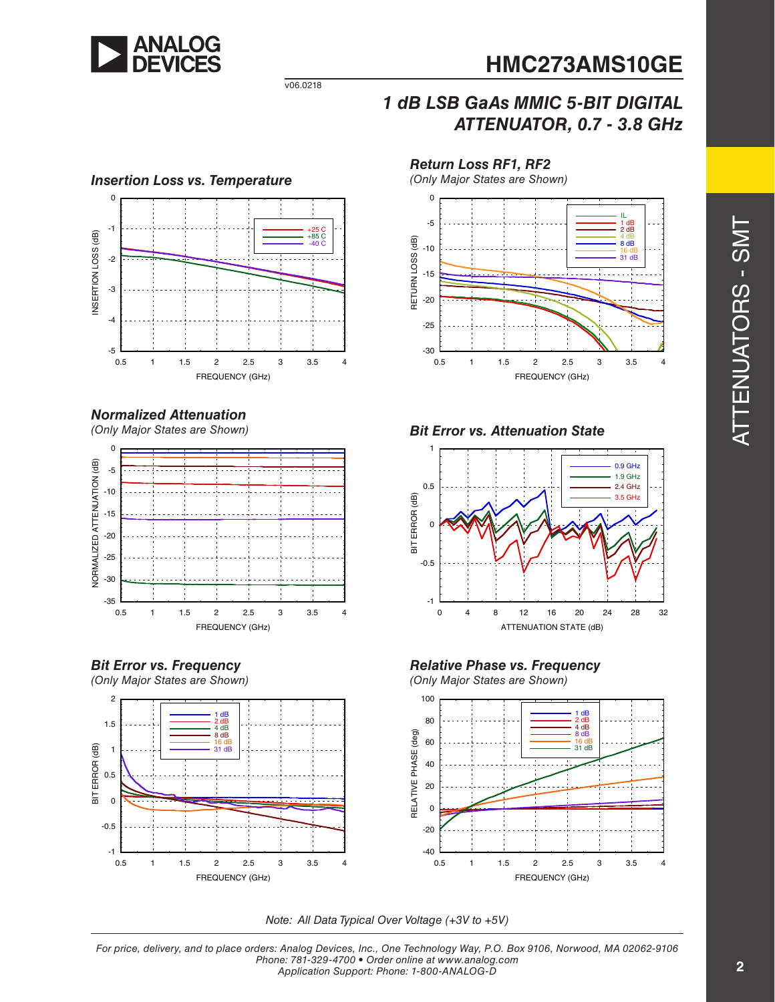

#### *1 dB LSB GaAs MMIC 5-BIT DIGITAL ATTENUATOR, 0.7 - 3.8 GHz*



v06.0218

#### *Normalized Attenuation*

*(Only Major States are Shown)*







*Return Loss RF1, RF2*   $\overline{0}$ IL 1 dB -5  $\frac{2}{10}$ 4 dB 8 dB RETURN LOSS (dB) RETURN LOSS (dB)  $-10$ 16 dB 31 dB -15 -20 -25

0.5 1 1.5 2 2.5 3 3.5 4

FREQUENCY (GHz)



-30









*Note: All Data Typical Over Voltage (+3V to +5V)*

*For price, delivery, and to place orders: Analog Devices, Inc., One Technology Way, P.O. Box 9106, Norwood, MA 02062-9106 Phone: 781-329-4700 • Order online at www.analog.com Application Support: Phone: 1-800-ANALOG-D*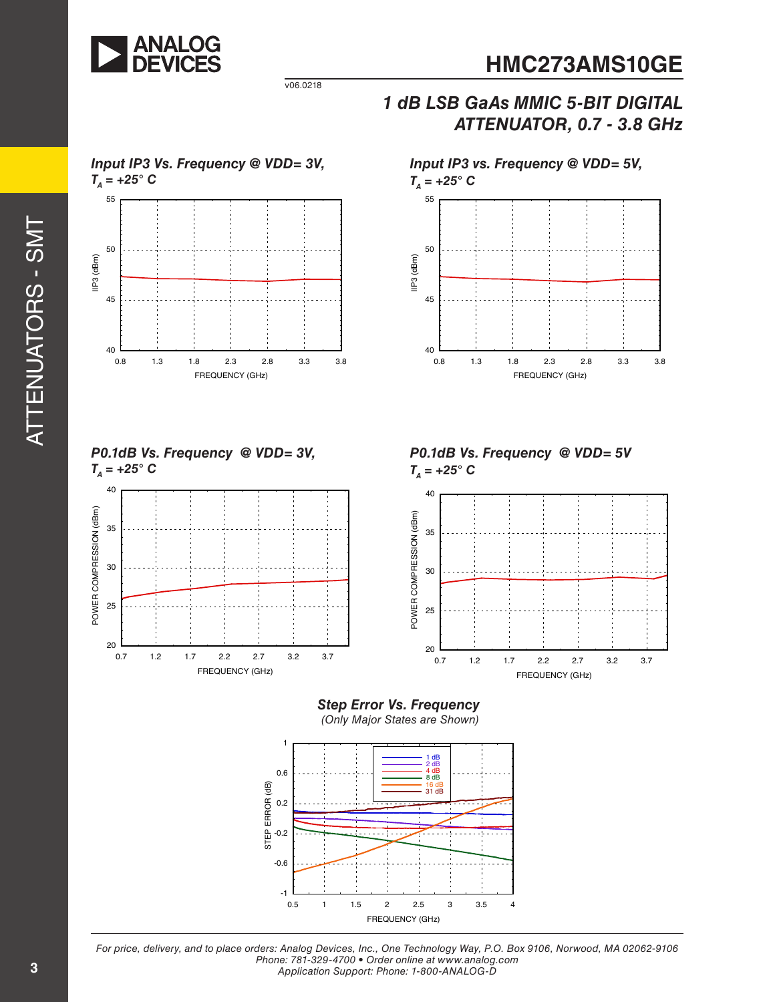

v06.0218

#### *1 dB LSB GaAs MMIC 5-BIT DIGITAL ATTENUATOR, 0.7 - 3.8 GHz*





*For price, delivery, and to place orders: Analog Devices, Inc., One Technology Way, P.O. Box 9106, Norwood, MA 02062-9106 Phone: 781-329-4700 • Order online at www.analog.com Application Support: Phone: 1-800-ANALOG-D*

**3**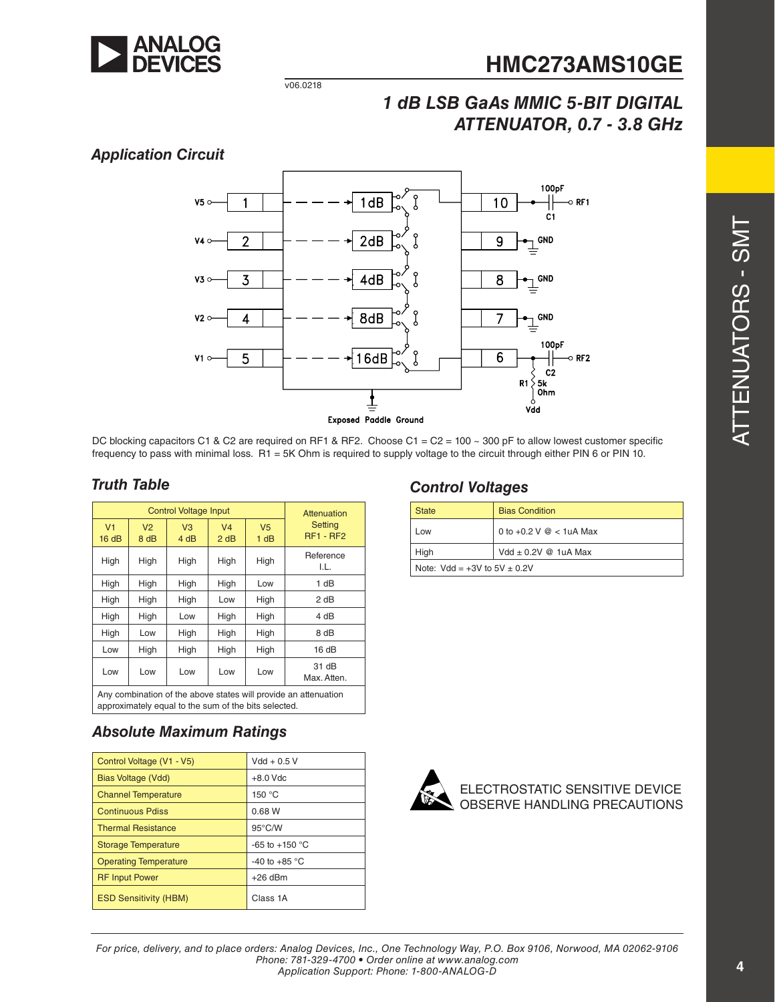

#### v06.0218

### *1 dB LSB GaAs MMIC 5-BIT DIGITAL ATTENUATOR, 0.7 - 3.8 GHz*

#### *Application Circuit*



DC blocking capacitors C1 & C2 are required on RF1 & RF2. Choose C1 = C2 = 100 ~ 300 pF to allow lowest customer specific frequency to pass with minimal loss. R1 = 5K Ohm is required to supply voltage to the circuit through either PIN 6 or PIN 10.

| <b>Control Voltage Input</b>                                                                                            |                        |                        |                        | Attenuation            |                             |
|-------------------------------------------------------------------------------------------------------------------------|------------------------|------------------------|------------------------|------------------------|-----------------------------|
| V <sub>1</sub><br>16dB                                                                                                  | V <sub>2</sub><br>8 dB | V <sub>3</sub><br>4 dB | V <sub>4</sub><br>2 dB | V <sub>5</sub><br>1 dB | Setting<br><b>RF1 - RF2</b> |
| High                                                                                                                    | High                   | High                   | High                   | High                   | Reference<br>I.L.           |
| High                                                                                                                    | High                   | High                   | High                   | Low                    | 1 dB                        |
| High                                                                                                                    | High                   | High                   | Low                    | High                   | 2 dB                        |
| High                                                                                                                    | High                   | Low                    | High                   | High                   | 4 dB                        |
| High                                                                                                                    | Low                    | High                   | High                   | High                   | 8 dB                        |
| Low                                                                                                                     | High                   | High                   | High                   | High                   | 16dB                        |
| Low                                                                                                                     | Low                    | Low                    | Low                    | Low                    | 31 dB<br>Max. Atten.        |
| Any combination of the above states will provide an attenuation<br>approximately equal to the sum of the bits selected. |                        |                        |                        |                        |                             |

#### *Truth Table Control Voltages*

| <b>State</b>                       | <b>Bias Condition</b>              |  |
|------------------------------------|------------------------------------|--|
| Low                                | 0 to +0.2 $V \text{ } @$ < 1uA Max |  |
| High                               | Vdd $\pm$ 0.2V @ 1uA Max           |  |
| Note: $Vdd = +3V$ to $5V \pm 0.2V$ |                                    |  |

#### *Absolute Maximum Ratings*

| Control Voltage (V1 - V5)    | $Vdd + 0.5V$             |
|------------------------------|--------------------------|
| Bias Voltage (Vdd)           | $+8.0$ Vdc               |
| <b>Channel Temperature</b>   | 150 $°C$                 |
| <b>Continuous Pdiss</b>      | 0.68 W                   |
| <b>Thermal Resistance</b>    | $95^{\circ}$ C/W         |
| <b>Storage Temperature</b>   | -65 to +150 $^{\circ}$ C |
| <b>Operating Temperature</b> | -40 to +85 $^{\circ}$ C  |
| <b>RF Input Power</b>        | $+26$ dBm                |
| <b>ESD Sensitivity (HBM)</b> | Class 1A                 |



ELECTROSTATIC SENSITIVE DEVICE OBSERVE HANDLING PRECAUTIONS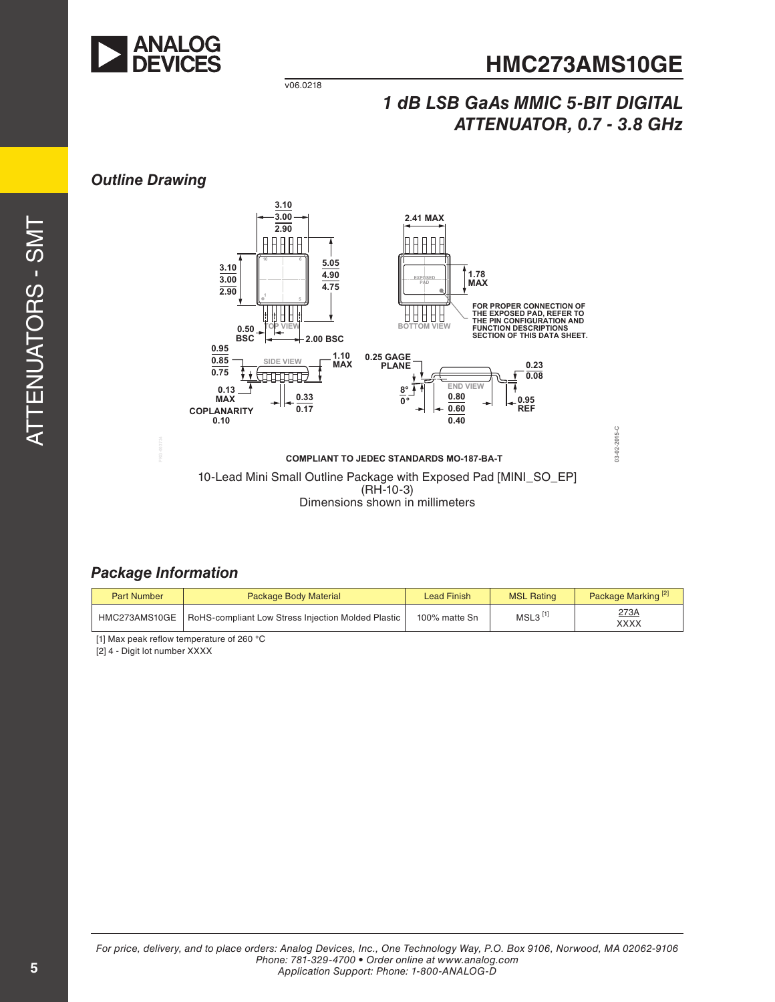

**03-02-2015-C**

03-02-2015-C

v06.0218

### *1 dB LSB GaAs MMIC 5-BIT DIGITAL ATTENUATOR, 0.7 - 3.8 GHz*

#### *Outline Drawing*





Dimensions shown in millimeters

#### *Package Information*

| <b>Part Number</b> | Package Body Material                                              | Lead Finish   | <b>MSL Rating</b>     | Package Marking <sup>[2]</sup> |
|--------------------|--------------------------------------------------------------------|---------------|-----------------------|--------------------------------|
|                    | HMC273AMS10GE   RoHS-compliant Low Stress Injection Molded Plastic | 100% matte Sn | $MSL3$ <sup>[1]</sup> | 273A<br>XXXX                   |

[1] Max peak reflow temperature of 260 °C

[2] 4 - Digit lot number XXXX